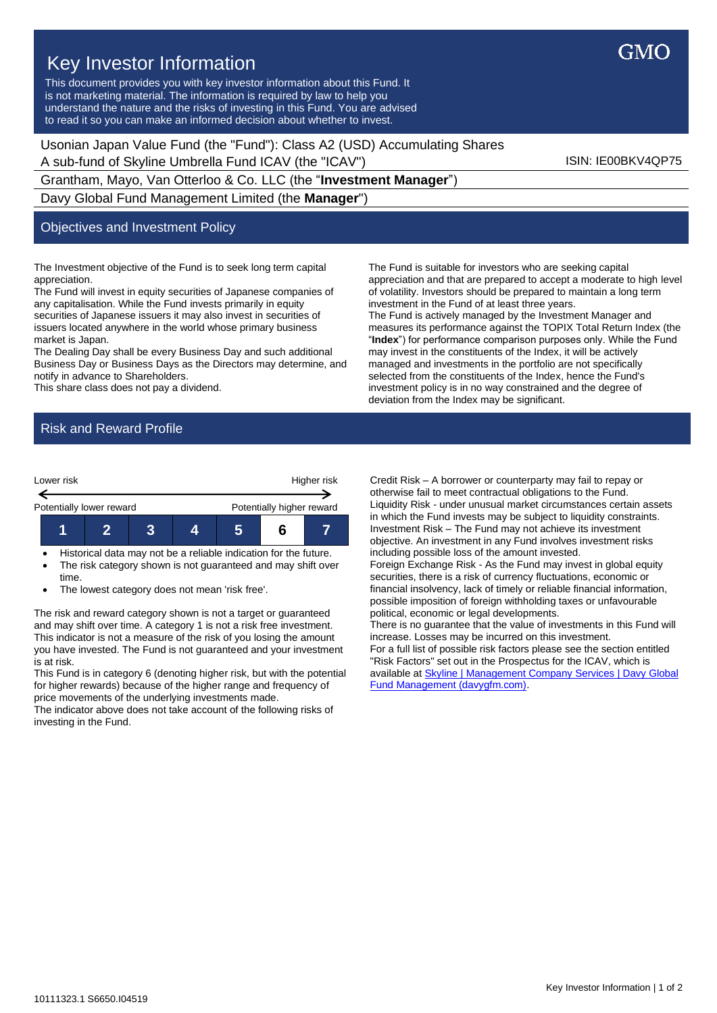Key Investor Information This document provides you with key investor information about this Fund. It is not marketing material. The information is required by law to help you understand the nature and the risks of investing in this Fund. You are advised to read it so you can make an informed decision about whether to invest.

Usonian Japan Value Fund (the "Fund"): Class A2 (USD) Accumulating Shares A sub-fund of Skyline Umbrella Fund ICAV (the "ICAV") ISIN: IE00BKV4QP75

Grantham, Mayo, Van Otterloo & Co. LLC (the "**Investment Manager**") Davy Global Fund Management Limited (the **Manager**")

## Objectives and Investment Policy

The Investment objective of the Fund is to seek long term capital appreciation.

The Fund will invest in equity securities of Japanese companies of any capitalisation. While the Fund invests primarily in equity securities of Japanese issuers it may also invest in securities of issuers located anywhere in the world whose primary business market is Japan.

The Dealing Day shall be every Business Day and such additional Business Day or Business Days as the Directors may determine, and notify in advance to Shareholders.

This share class does not pay a dividend.

The Fund is suitable for investors who are seeking capital appreciation and that are prepared to accept a moderate to high level of volatility. Investors should be prepared to maintain a long term investment in the Fund of at least three years. The Fund is actively managed by the Investment Manager and measures its performance against the TOPIX Total Return Index (the "**Index**") for performance comparison purposes only. While the Fund may invest in the constituents of the Index, it will be actively managed and investments in the portfolio are not specifically selected from the constituents of the Index, hence the Fund's investment policy is in no way constrained and the degree of deviation from the Index may be significant.

## Risk and Reward Profile



• Historical data may not be a reliable indication for the future. • The risk category shown is not guaranteed and may shift over time.

• The lowest category does not mean 'risk free'.

The risk and reward category shown is not a target or guaranteed and may shift over time. A category 1 is not a risk free investment. This indicator is not a measure of the risk of you losing the amount you have invested. The Fund is not guaranteed and your investment is at risk.

This Fund is in category 6 (denoting higher risk, but with the potential for higher rewards) because of the higher range and frequency of price movements of the underlying investments made.

The indicator above does not take account of the following risks of investing in the Fund.

Credit Risk – A borrower or counterparty may fail to repay or otherwise fail to meet contractual obligations to the Fund. Liquidity Risk - under unusual market circumstances certain assets in which the Fund invests may be subject to liquidity constraints. Investment Risk – The Fund may not achieve its investment objective. An investment in any Fund involves investment risks including possible loss of the amount invested.

Foreign Exchange Risk - As the Fund may invest in global equity securities, there is a risk of currency fluctuations, economic or financial insolvency, lack of timely or reliable financial information, possible imposition of foreign withholding taxes or unfavourable political, economic or legal developments.

There is no guarantee that the value of investments in this Fund will increase. Losses may be incurred on this investment. For a full list of possible risk factors please see the section entitled "Risk Factors" set out in the Prospectus for the ICAV, which is available a[t Skyline | Management Company Services | Davy Global](https://www.davygfm.com/funds-factsheets/management-company-services/ireland/skyline.html)  [Fund Management \(davygfm.com\).](https://www.davygfm.com/funds-factsheets/management-company-services/ireland/skyline.html)